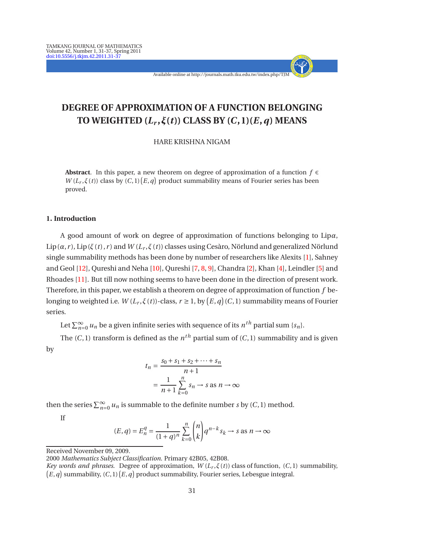Available online at http://journals.math.tku.edu.tw/index.php/TJM

- + - - -

# **DEGREE OF APPROXIMATION OF A FUNCTION BELONGING TO WEIGHTED (***L<sup>r</sup>* **,***ξ***(***t***)) CLASS BY (***C***, 1)(***E***,***q***) MEANS**

HARE KRISHNA NIGAM

**Abstract**. In this paper, a new theorem on degree of approximation of a function *f* ∈  $W(L_r, \xi(t))$  class by  $(C, 1)$   $(E, q)$  product summability means of Fourier series has been proved.

# **1. Introduction**

A good amount of work on degree of approximation of functions belonging to Lip*α*, Lip(*α*, *r* ), Lip(*ξ*(*t*), *r* ) and *W* (*L<sup>r</sup>* ,*ξ*(*t*)) classes using Cesàro, Nörlund and generalized Nörlund single summability methods has been done by number of researchers like Alexits [\[1](#page-6-0)], Sahney and Geol [\[12](#page-6-1)], Qureshi and Neha [\[10\]](#page-6-2), Qureshi [\[7,](#page-6-3) [8,](#page-6-4) [9\]](#page-6-5), Chandra [\[2](#page-6-6)], Khan [\[4](#page-6-7)], Leindler [\[5\]](#page-6-8) and Rhoades [\[11\]](#page-6-9). But till now nothing seems to have been done in the direction of present work. Therefore, in this paper, we establish a theorem on degree of approximation of function *f* belonging to weighted i.e.  $W\left(L_r,\xi\left(t\right)\right)$ -class,  $r\geq 1$ , by  $\left(E,q\right)$  (C, 1) summability means of Fourier series.

Let  $\sum_{n=0}^{\infty} u_n$  be a given infinite series with sequence of its  $n^{th}$  partial sum {*s*<sub>*n*</sub>}.

The  $(C,1)$  transform is defined as the  $n^{th}$  partial sum of  $(C,1)$  summability and is given by

$$
t_n = \frac{s_0 + s_1 + s_2 + \dots + s_n}{n+1}
$$

$$
= \frac{1}{n+1} \sum_{k=0}^n s_k \to s \text{ as } n \to \infty
$$

then the series  $\sum_{n=0}^{\infty} u_n$  is summable to the definite number *s* by (*C*, 1) method.

If

$$
(E, q) = E_n^q = \frac{1}{(1+q)^n} \sum_{k=0}^n {n \choose k} q^{n-k} s_k \to s \text{ as } n \to \infty
$$

Received November 09, 2009.

<sup>2000</sup> *Mathematics Subject Classification*. Primary 42B05, 42B08.

*Key words and phrases.* Degree of approximation,  $W(L_r, \xi(t))$  class of function,  $(C, 1)$  summability,  $(E, q)$  summability,  $(C, 1)$   $(E, q)$  product summability, Fourier series, Lebesgue integral.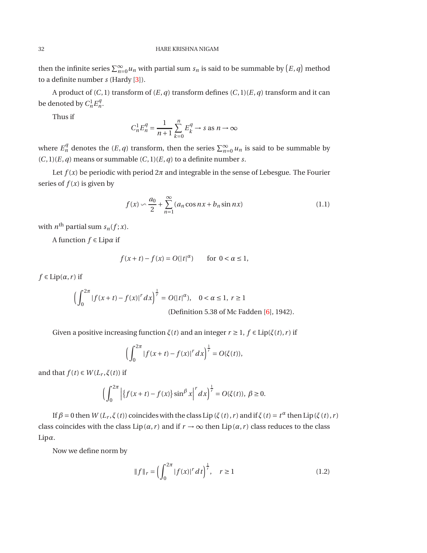#### 32 HARE KRISHNA NIGAM

then the infinite series  $\sum_{n=0}^{\infty} u_n$  with partial sum  $s_n$  is said to be summable by  $(E, q)$  method to a definite number *s* (Hardy [\[3](#page-6-10)]).

A product of (*C*,1) transform of (*E*,*q*) transform defines (*C*,1)(*E*,*q*) transform and it can be denoted by  $C_n^1 E_n^q$ .

Thus if

$$
C_n^1 E_n^q = \frac{1}{n+1} \sum_{k=0}^n E_k^q \to s \text{ as } n \to \infty
$$

where  $E_n^q$  denotes the  $(E, q)$  transform, then the series  $\sum_{n=0}^{\infty} u_n$  is said to be summable by  $(C,1)(E,q)$  means or summable  $(C,1)(E,q)$  to a definite number *s*.

<span id="page-1-0"></span>Let  $f(x)$  be periodic with period  $2\pi$  and integrable in the sense of Lebesgue. The Fourier series of  $f(x)$  is given by

$$
f(x) \sim \frac{a_0}{2} + \sum_{n=1}^{\infty} (a_n \cos nx + b_n \sin nx)
$$
 (1.1)

with  $n^{\text{th}}$  partial sum  $s_n(f; x)$ .

A function *f* ∈ Lip*α* if

$$
f(x+t) - f(x) = O(|t|^{\alpha}) \qquad \text{for } 0 < \alpha \le 1,
$$

 $f \in Lip(\alpha, r)$  if

$$
\left(\int_0^{2\pi} |f(x+t) - f(x)|^r dx\right)^{\frac{1}{r}} = O(|t|^{\alpha}), \quad 0 < \alpha \le 1, \ r \ge 1
$$
\n(Definition 5.38 of Mc Fadden [6], 1942).

Given a positive increasing function  $\xi(t)$  and an integer  $r \ge 1$ ,  $f \in Lip(\xi(t), r)$  if

$$
\left(\int_0^{2\pi} |f(x+t) - f(x)|^r dx\right)^{\frac{1}{r}} = O(\xi(t)),
$$

and that  $f(t) \in W(L_r, \xi(t))$  if

$$
\left(\int_0^{2\pi} \left| \{f(x+t) - f(x)\} \sin^{\beta} x \right|^r dx \right)^{\frac{1}{r}} = O(\xi(t)), \ \beta \ge 0.
$$

If  $β = 0$  then  $W(L_r, ξ(t))$  coincides with the class Lip ( $ξ(t), r$ ) and if  $ξ(t) = t^α$  then Lip( $ξ(t), r$ ) class coincides with the class Lip( $\alpha$ , *r*) and if  $r \to \infty$  then Lip( $\alpha$ , *r*) class reduces to the class Lip*α*.

Now we define norm by

$$
||f||_{r} = \left(\int_{0}^{2\pi} |f(x)|^{r} dt\right)^{\frac{1}{r}}, \quad r \ge 1
$$
 (1.2)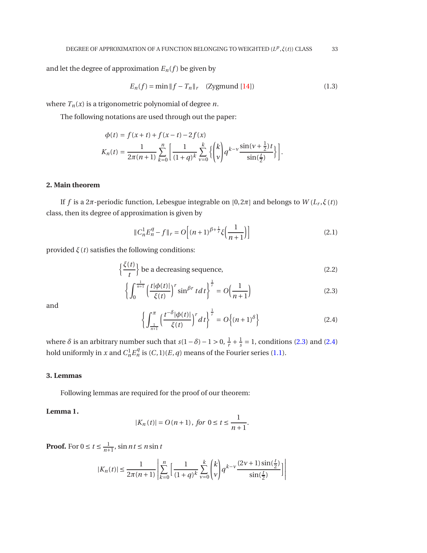and let the degree of approximation  $E_n(f)$  be given by

$$
E_n(f) = \min \|f - T_n\|_r \quad \text{(Zygmund [14])} \tag{1.3}
$$

where  $T_n(x)$  is a trigonometric polynomial of degree *n*.

The following notations are used through out the paper:

$$
\begin{aligned} \phi(t) &= f(x+t) + f(x-t) - 2f(x) \\ K_n(t) &= \frac{1}{2\pi(n+1)} \sum_{k=0}^n \left[ \frac{1}{(1+q)^k} \sum_{\nu=0}^k \left\{ \binom{k}{\nu} q^{k-\nu} \frac{\sin(\nu + \frac{1}{2})t}{\sin(\frac{t}{2})} \right\} \right]. \end{aligned}
$$

# **2. Main theorem**

If *f* is a 2 $\pi$ -periodic function, Lebesgue integrable on [0,2 $\pi$ ] and belongs to  $W(L_r, \xi(t))$ class, then its degree of approximation is given by

$$
||C_n^1 E_n^q - f||_r = O[(n+1)^{\beta + \frac{1}{r}} \xi\left(\frac{1}{n+1}\right)]
$$
\n(2.1)

provided  $\xi(t)$  satisfies the following conditions:

$$
\left\{ \frac{\xi(t)}{t} \right\} \text{ be a decreasing sequence,}
$$
 (2.2)

<span id="page-2-0"></span>
$$
\left\{ \int_0^{\frac{1}{n+1}} \left( \frac{t |\phi(t)|}{\xi(t)} \right)^r \sin^{\beta r} t dt \right\}^{\frac{1}{r}} = O\Big(\frac{1}{n+1}\Big)
$$
 (2.3)

and

$$
\left\{\int_{\frac{1}{n+1}}^{\pi} \left(\frac{t^{-\delta}|\phi(t)|}{\xi(t)}\right)^{r} dt\right\}^{\frac{1}{r}} = O\left\{\left(n+1\right)^{\delta}\right\} \tag{2.4}
$$

where  $\delta$  is an arbitrary number such that  $s(1-\delta)-1>0, \frac{1}{r}+\frac{1}{s}$  $\frac{1}{s}$  = 1, conditions [\(2.3\)](#page-2-0) and [\(2.4\)](#page-2-0) hold uniformly in *x* and  $C_n^1 E_n^q$  is  $(C, 1)(E, q)$  means of the Fourier series [\(1.1\)](#page-1-0).

#### **3. Lemmas**

Following lemmas are required for the proof of our theorem:

## **Lemma 1***.*

<span id="page-2-1"></span>
$$
|K_n(t)| = O(n+1)
$$
, for  $0 \le t \le \frac{1}{n+1}$ .

**Proof.** For  $0 \le t \le \frac{1}{n+1}$ ,  $\sin nt \le n \sin t$ 

$$
|K_n(t)| \le \frac{1}{2\pi (n+1)} \left| \sum_{k=0}^n \bigg[ \frac{1}{(1+q)^k} \sum_{\nu=0}^k \binom{k}{\nu} q^{k-\nu} \frac{(2\nu+1)\sin(\frac{t}{2})}{\sin(\frac{t}{2})} \bigg] \right|
$$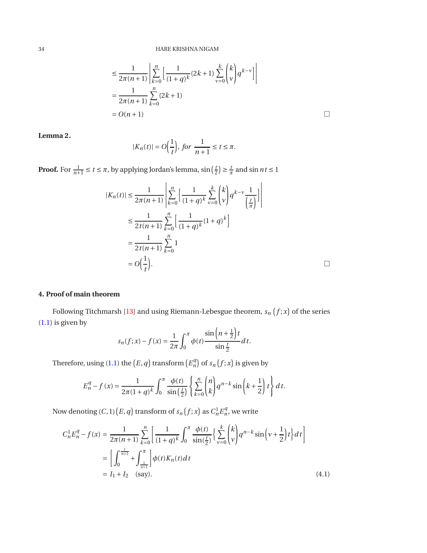$$
\leq \frac{1}{2\pi(n+1)} \left| \sum_{k=0}^{n} \left[ \frac{1}{(1+q)^k} (2k+1) \sum_{\nu=0}^{k} {k \choose \nu} q^{k-\nu} \right] \right|
$$
  
= 
$$
\frac{1}{2\pi(n+1)} \sum_{k=0}^{n} (2k+1)
$$
  
= 
$$
O(n+1)
$$

<span id="page-3-0"></span>**Lemma 2***.*

$$
|K_n(t)| = O\Big(\frac{1}{t}\Big), \text{ for } \frac{1}{n+1} \le t \le \pi.
$$

**Proof.** For  $\frac{1}{n+1} \le t \le \pi$ , by applying Jordan's lemma,  $\sin\left(\frac{t}{2}\right)$  $\left(\frac{t}{2}\right) \geq \frac{t}{\pi}$  $\frac{t}{\pi}$  and sin  $nt \leq 1$ 

$$
|K_n(t)| \le \frac{1}{2\pi(n+1)} \left| \sum_{k=0}^n \left[ \frac{1}{(1+q)^k} \sum_{\nu=0}^k {k \choose \nu} q^{k-\nu} \frac{1}{\left(\frac{t}{\pi}\right)} \right] \right|
$$
  

$$
\le \frac{1}{2t(n+1)} \sum_{k=0}^n \left[ \frac{1}{(1+q)^k} (1+q)^k \right]
$$
  

$$
= \frac{1}{2t(n+1)} \sum_{k=0}^n 1
$$
  

$$
= O\left(\frac{1}{t}\right).
$$

### **4. Proof of main theorem**

Following Titchmarsh [\[13](#page-6-13)] and using Riemann-Lebesgue theorem,  $s_n(f; x)$  of the series [\(1.1\)](#page-1-0) is given by

$$
s_n(f; x) - f(x) = \frac{1}{2\pi} \int_0^{\pi} \phi(t) \frac{\sin\left((n + \frac{1}{2})t\right)}{\sin\frac{t}{2}} dt.
$$

Therefore, using [\(1.1\)](#page-1-0) the  $\left(E,q\right)$  transform  $\left(E_n^q\right)$  of  $s_n\left(f;x\right)$  is given by

$$
E_n^q - f(x) = \frac{1}{2\pi (1+q)^k} \int_0^{\pi} \frac{\phi(t)}{\sin(\frac{t}{2})} \left\{ \sum_{k=0}^n \binom{n}{k} q^{n-k} \sin\left(k + \frac{1}{2}\right) t \right\} dt.
$$

<span id="page-3-1"></span>Now denoting  $(C, 1)$   $(E, q)$  transform of  $s_n(f; x)$  as  $C_n^1 E_n^q$ , we write

$$
C_n^1 E_n^q - f(x) = \frac{1}{2\pi (n+1)} \sum_{k=0}^n \left[ \frac{1}{(1+q)^k} \int_0^\pi \frac{\phi(t)}{\sin(\frac{t}{2})} \left\{ \sum_{\nu=0}^k \binom{k}{\nu} q^{n-k} \sin(\nu + \frac{1}{2}) t \right\} dt \right]
$$
  
= 
$$
\left[ \int_0^{\frac{1}{n+1}} + \int_{\frac{1}{n+1}}^\pi \right] \phi(t) K_n(t) dt
$$
  
=  $I_1 + I_2$  (say). (4.1)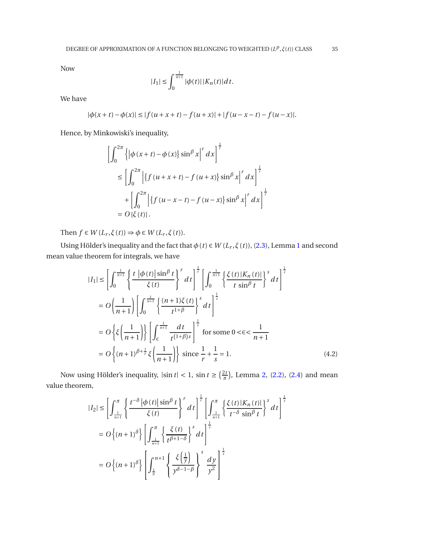Now

$$
|I_1| \leq \int_0^{\frac{1}{n+1}} |\phi(t)| \, |K_n(t)| \, dt.
$$

We have

$$
|\phi(x+t)-\phi(x)|\leq |f(u+x+t)-f(u+x)|+|f(u-x-t)-f(u-x)|.
$$

Hence, by Minkowiski's inequality,

$$
\begin{aligned} \left[ \int_0^{2\pi} \left\{ \left| \phi(x+t) - \phi(x) \right\} \sin^\beta x \right|^r dx \right]^{\frac{1}{r}} \\ &\leq \left[ \int_0^{2\pi} \left| \left\{ f(u+x+t) - f(u+x) \right\} \sin^\beta x \right|^r dx \right]^{\frac{1}{r}} \\ &\quad + \left[ \int_0^{2\pi} \left| \left\{ f(u-x-t) - f(u-x) \right\} \sin^\beta x \right|^r dx \right]^{\frac{1}{r}} \\ &= O\left\{ \xi(t) \right\}. \end{aligned}
$$

Then  $f \in W(L_r, \xi(t)) \Rightarrow \phi \in W(L_r, \xi(t))$ .

<span id="page-4-0"></span>Using Hölder's inequality and the fact that  $\phi(t) \in W(L_r, \xi(t))$ , [\(2.3\)](#page-2-0), Lemma [1](#page-2-1) and second mean value theorem for integrals, we have

$$
|I_{1}| \leq \left[\int_{0}^{\frac{1}{n+1}} \left\{\frac{t \left|\phi(t)\right| \sin^{\beta} t}{\xi(t)}\right\}^{r} dt\right]^{\frac{1}{r}} \left[\int_{0}^{\frac{1}{n+1}} \left\{\frac{\xi(t) |K_{n}(t)|}{t \sin^{\beta} t}\right\}^{s} dt\right]^{\frac{1}{s}}
$$
  
\n
$$
= O\left(\frac{1}{n+1}\right) \left[\int_{0}^{\frac{1}{n+1}} \left\{\frac{(n+1)\xi(t)}{t^{1+\beta}}\right\}^{s} dt\right]^{\frac{1}{s}}
$$
  
\n
$$
= O\left\{\xi\left(\frac{1}{n+1}\right)\right\} \left[\int_{\epsilon}^{\frac{1}{n+1}} \frac{dt}{t^{(1+\beta)s}}\right]^{\frac{1}{s}} \text{ for some } 0 < \epsilon < \frac{1}{n+1}
$$
  
\n
$$
= O\left\{(n+1)^{\beta+\frac{1}{r}} \xi\left(\frac{1}{n+1}\right)\right\} \text{ since } \frac{1}{r} + \frac{1}{s} = 1.
$$
 (4.2)

<span id="page-4-1"></span>Now using Hölder's inequality,  $|\sin t| < 1$ ,  $\sin t \geq \left(\frac{2t}{\pi}\right)$  $\frac{2t}{\pi}$ ), Lemma [2,](#page-3-0) [\(2.2\)](#page-2-0), [\(2.4\)](#page-2-0) and mean value theorem,

$$
|I_2| \leq \left[ \int_{\frac{1}{n+1}}^{\pi} \left\{ \frac{t^{-\delta} |\phi(t)| \sin^{\beta} t}{\xi(t)} \right\}^r dt \right]^{\frac{1}{r}} \left[ \int_{\frac{1}{n+1}}^{\pi} \left\{ \frac{\xi(t) |K_n(t)|}{t^{-\delta} \sin^{\beta} t} \right\}^s dt \right]^{\frac{1}{s}}
$$
  

$$
= O\left\{ (n+1)^{\delta} \right\} \left[ \int_{\frac{1}{n+1}}^{\pi} \left\{ \frac{\xi(t)}{t^{\beta+1-\delta}} \right\}^s dt \right]^{\frac{1}{s}}
$$
  

$$
= O\left\{ (n+1)^{\delta} \right\} \left[ \int_{\frac{1}{\pi}}^{n+1} \left\{ \frac{\xi\left(\frac{1}{y}\right)}{y^{\delta-1-\beta}} \right\}^s \frac{dy}{y^2} \right]^{\frac{1}{s}}
$$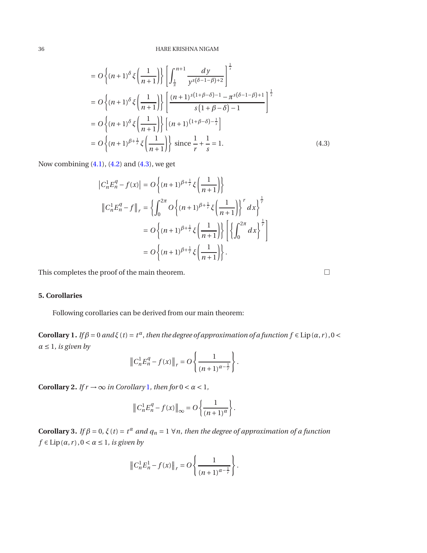$$
= O\left\{ (n+1)^{\delta} \xi \left( \frac{1}{n+1} \right) \right\} \left[ \int_{\frac{1}{\pi}}^{n+1} \frac{dy}{y^{s(\delta-1-\beta)+2}} \right]^{\frac{1}{s}}
$$
  
\n
$$
= O\left\{ (n+1)^{\delta} \xi \left( \frac{1}{n+1} \right) \right\} \left[ \frac{(n+1)^{s(1+\beta-\delta)-1} - \pi^{s(\delta-1-\beta)+1}}{s(1+\beta-\delta)-1} \right]^{\frac{1}{s}}
$$
  
\n
$$
= O\left\{ (n+1)^{\delta} \xi \left( \frac{1}{n+1} \right) \right\} \left[ (n+1)^{(1+\beta-\delta)-\frac{1}{s}} \right]
$$
  
\n
$$
= O\left\{ (n+1)^{\beta+\frac{1}{r}} \xi \left( \frac{1}{n+1} \right) \right\} \text{ since } \frac{1}{r} + \frac{1}{s} = 1.
$$
 (4.3)

Now combining  $(4.1)$ ,  $(4.2)$  and  $(4.3)$ , we get

$$
\begin{aligned} \left| C_n^1 E_n^q - f(x) \right| &= O\left\{ (n+1)^{\beta + \frac{1}{r}} \xi \left( \frac{1}{n+1} \right) \right\} \\ \left\| C_n^1 E_n^q - f \right\|_r &= \left\{ \int_0^{2\pi} O\left\{ (n+1)^{\beta + \frac{1}{r}} \xi \left( \frac{1}{n+1} \right) \right\}^r dx \right\}^{\frac{1}{r}} \\ &= O\left\{ (n+1)^{\beta + \frac{1}{r}} \xi \left( \frac{1}{n+1} \right) \right\} \left[ \left\{ \int_0^{2\pi} dx \right\}^{\frac{1}{r}} \right] \\ &= O\left\{ (n+1)^{\beta + \frac{1}{r}} \xi \left( \frac{1}{n+1} \right) \right\} . \end{aligned}
$$

This completes the proof of the main theorem.  $\Box$ 

# <span id="page-5-0"></span>**5. Corollaries**

Following corollaries can be derived from our main theorem:

**Corollary 1.** *If* $\beta = 0$  *and*  $\xi(t) = t^{\alpha}$ *, then the degree of approximation of a function*  $f \in Lip(\alpha, r)$ , 0 < *α* ≤ 1*, is given by*  $\overline{ }$  $\Delta$ 

$$
||C_n^1 E_n^q - f(x)||_r = O\left\{\frac{1}{(n+1)^{\alpha-\frac{1}{r}}}\right\}.
$$

**Corollary 2.** *If*  $r \rightarrow \infty$  *in Corollary* [1](#page-5-0)*, then for*  $0 < \alpha < 1$ *,* 

$$
\left\|C_n^1 E_n^q - f(x)\right\|_{\infty} = O\left\{\frac{1}{(n+1)^{\alpha}}\right\}.
$$

<span id="page-5-1"></span>**Corollary 3.** *If*  $\beta = 0$ ,  $\xi(t) = t^{\alpha}$  *and*  $q_n = 1 \forall n$ , *then the degree of approximation of a function*  $f \in Lip(\alpha, r)$ ,  $0 < \alpha \leq 1$ *, is given by* 

$$
||C_n^1 E_n^1 - f(x)||_r = O\left\{\frac{1}{(n+1)^{\alpha - \frac{1}{r}}}\right\}.
$$